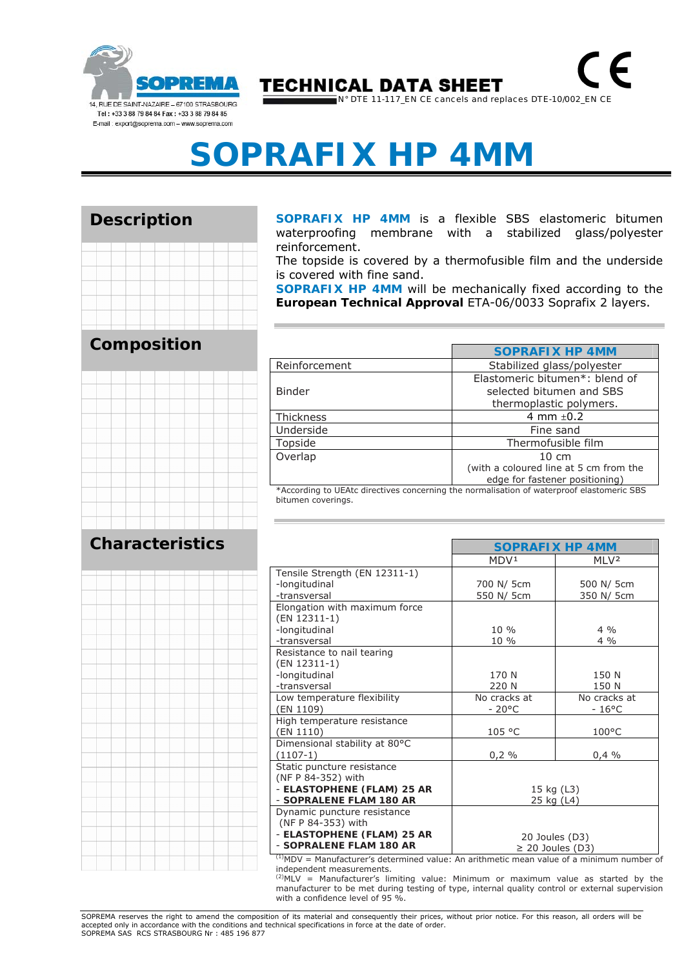

## **TECHNICAL DATA SHEET**

N° DTE 11-117\_EN CE cancels and replaces DTE-10/002\_EN CE

# **SOPRAFIX HP 4MM**

#### **Description**



**SOPRAFIX HP 4MM** is a flexible SBS elastomeric bitumen waterproofing membrane with a stabilized glass/polyester reinforcement.

The topside is covered by a thermofusible film and the underside is covered with fine sand.

**SOPRAFIX HP 4MM** will be mechanically fixed according to the **European Technical Approval** ETA-06/0033 Soprafix 2 layers.

|                                                                                        | <b>SOPRAFIX HP 4MM</b>                                     |  |
|----------------------------------------------------------------------------------------|------------------------------------------------------------|--|
| Reinforcement                                                                          | Stabilized glass/polyester                                 |  |
| <b>Binder</b>                                                                          | Elastomeric bitumen*: blend of<br>selected bitumen and SBS |  |
|                                                                                        | thermoplastic polymers.                                    |  |
| <b>Thickness</b>                                                                       | 4 mm $\pm$ 0.2                                             |  |
| Underside                                                                              | Fine sand                                                  |  |
| Topside                                                                                | Thermofusible film                                         |  |
| Overlap                                                                                | $10 \text{ cm}$                                            |  |
|                                                                                        | (with a coloured line at 5 cm from the                     |  |
|                                                                                        | edge for fastener positioning)                             |  |
| $*Acorordina to HEAtc directives concerning the normalization of waterproof algorithm$ |                                                            |  |

EAtc directives concerning the normalisation of waterproof elastomeric S bitumen coverings.

|                               |                       | <b>SOPRAFIX HP 4MM</b> |  |
|-------------------------------|-----------------------|------------------------|--|
|                               | MDV <sup>1</sup>      | MI V <sup>2</sup>      |  |
| Tensile Strength (EN 12311-1) |                       |                        |  |
| -longitudinal                 | 700 N/ 5cm            | 500 N/ 5cm             |  |
| -transversal                  | 550 N/ 5cm            | 350 N/ 5cm             |  |
| Elongation with maximum force |                       |                        |  |
| (EN 12311-1)                  |                       |                        |  |
| -longitudinal                 | $10\%$                | $4\frac{0}{0}$         |  |
| -transversal                  | 10 %                  | $4\%$                  |  |
| Resistance to nail tearing    |                       |                        |  |
| (EN 12311-1)                  |                       |                        |  |
| -longitudinal                 | 170 N                 | 150 N                  |  |
| -transversal                  | 220 N                 | 150 N                  |  |
| Low temperature flexibility   | No cracks at          | No cracks at           |  |
| (EN 1109)                     | $-20^{\circ}$ C       | $-16^{\circ}$ C        |  |
| High temperature resistance   |                       |                        |  |
| (EN 1110)                     | 105 °C                | $100^{\circ}$ C        |  |
| Dimensional stability at 80°C |                       |                        |  |
| $(1107-1)$                    | 0,2%                  | 0,4%                   |  |
| Static puncture resistance    |                       |                        |  |
| (NF P 84-352) with            |                       |                        |  |
| - ELASTOPHENE (FLAM) 25 AR    | 15 kg (L3)            |                        |  |
| - SOPRALENE FLAM 180 AR       | 25 kg (L4)            |                        |  |
| Dynamic puncture resistance   |                       |                        |  |
| (NF P 84-353) with            |                       |                        |  |
| - ELASTOPHENE (FLAM) 25 AR    |                       | 20 Joules (D3)         |  |
| - SOPRALENE FLAM 180 AR       | $\geq$ 20 Joules (D3) |                        |  |

 $<sup>(1)</sup>MDV =$  Manufacturer's determined value: An arithmetic mean value of a minimum number of</sup> independent measurements.

 $^{(2)}$ MLV = Manufacturer's limiting value: Minimum or maximum value as started by the manufacturer to be met during testing of type, internal quality control or external supervision with a confidence level of 95 %.

SOPREMA reserves the right to amend the composition of its material and consequently their prices, without prior notice. For this reason, all orders will be accepted only in accordance with the conditions and technical specifications in force at the date of order. SOPREMA SAS RCS STRASBOURG Nr : 485 196 877

#### **Composition**



#### **Characteristics**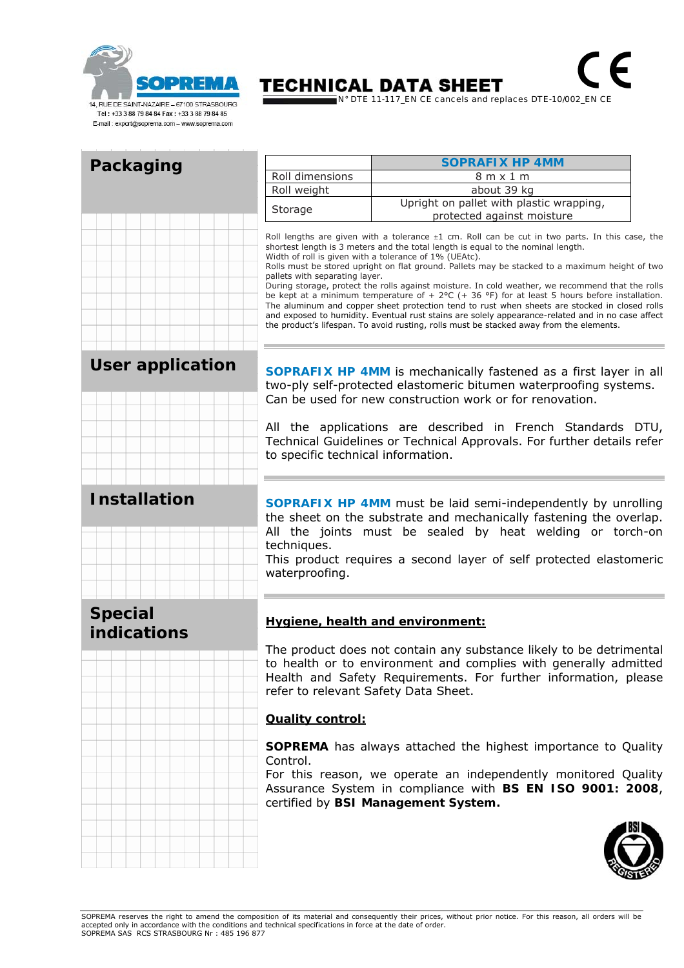

### **TECHNICAL DATA SHEET**

N° DTE 11-117\_EN CE cancels and replaces DTE-10/002\_EN CE

 $\in$ 

|                               |                                                                                                                                                                                                                                                                                                                                                                                                                                                                                                                                                                                                                                                                                                                                                                                                                                                                                                      | <b>SOPRAFIX HP 4MM</b>                   |  |
|-------------------------------|------------------------------------------------------------------------------------------------------------------------------------------------------------------------------------------------------------------------------------------------------------------------------------------------------------------------------------------------------------------------------------------------------------------------------------------------------------------------------------------------------------------------------------------------------------------------------------------------------------------------------------------------------------------------------------------------------------------------------------------------------------------------------------------------------------------------------------------------------------------------------------------------------|------------------------------------------|--|
| Packaging                     | Roll dimensions                                                                                                                                                                                                                                                                                                                                                                                                                                                                                                                                                                                                                                                                                                                                                                                                                                                                                      | 8 m x 1 m                                |  |
|                               | Roll weight                                                                                                                                                                                                                                                                                                                                                                                                                                                                                                                                                                                                                                                                                                                                                                                                                                                                                          | about 39 kg                              |  |
|                               |                                                                                                                                                                                                                                                                                                                                                                                                                                                                                                                                                                                                                                                                                                                                                                                                                                                                                                      | Upright on pallet with plastic wrapping, |  |
|                               | Storage                                                                                                                                                                                                                                                                                                                                                                                                                                                                                                                                                                                                                                                                                                                                                                                                                                                                                              | protected against moisture               |  |
|                               | Roll lengths are given with a tolerance $\pm 1$ cm. Roll can be cut in two parts. In this case, the<br>shortest length is 3 meters and the total length is equal to the nominal length.<br>Width of roll is given with a tolerance of 1% (UEAtc).<br>Rolls must be stored upright on flat ground. Pallets may be stacked to a maximum height of two<br>pallets with separating layer.<br>During storage, protect the rolls against moisture. In cold weather, we recommend that the rolls<br>be kept at a minimum temperature of + $2^{\circ}C$ (+ 36 °F) for at least 5 hours before installation.<br>The aluminum and copper sheet protection tend to rust when sheets are stocked in closed rolls<br>and exposed to humidity. Eventual rust stains are solely appearance-related and in no case affect<br>the product's lifespan. To avoid rusting, rolls must be stacked away from the elements. |                                          |  |
| <b>User application</b>       | <b>SOPRAFIX HP 4MM</b> is mechanically fastened as a first layer in all<br>two-ply self-protected elastomeric bitumen waterproofing systems.<br>Can be used for new construction work or for renovation.<br>All the applications are described in French Standards DTU,<br>Technical Guidelines or Technical Approvals. For further details refer<br>to specific technical information.                                                                                                                                                                                                                                                                                                                                                                                                                                                                                                              |                                          |  |
| <b>Installation</b>           | <b>SOPRAFIX HP 4MM</b> must be laid semi-independently by unrolling<br>the sheet on the substrate and mechanically fastening the overlap.<br>All the joints must be sealed by heat welding or torch-on<br>techniques.<br>This product requires a second layer of self protected elastomeric<br>waterproofing.                                                                                                                                                                                                                                                                                                                                                                                                                                                                                                                                                                                        |                                          |  |
| <b>Special</b><br>indications | Hygiene, health and environment:                                                                                                                                                                                                                                                                                                                                                                                                                                                                                                                                                                                                                                                                                                                                                                                                                                                                     |                                          |  |
|                               | The product does not contain any substance likely to be detrimental                                                                                                                                                                                                                                                                                                                                                                                                                                                                                                                                                                                                                                                                                                                                                                                                                                  |                                          |  |
|                               | to health or to environment and complies with generally admitted<br>Health and Safety Requirements. For further information, please<br>refer to relevant Safety Data Sheet.                                                                                                                                                                                                                                                                                                                                                                                                                                                                                                                                                                                                                                                                                                                          |                                          |  |
|                               | <b>Quality control:</b>                                                                                                                                                                                                                                                                                                                                                                                                                                                                                                                                                                                                                                                                                                                                                                                                                                                                              |                                          |  |
|                               | <b>SOPREMA</b> has always attached the highest importance to Quality                                                                                                                                                                                                                                                                                                                                                                                                                                                                                                                                                                                                                                                                                                                                                                                                                                 |                                          |  |
|                               | Control.<br>For this reason, we operate an independently monitored Quality<br>Assurance System in compliance with BS EN ISO 9001: 2008,<br>certified by BSI Management System.                                                                                                                                                                                                                                                                                                                                                                                                                                                                                                                                                                                                                                                                                                                       |                                          |  |
|                               |                                                                                                                                                                                                                                                                                                                                                                                                                                                                                                                                                                                                                                                                                                                                                                                                                                                                                                      |                                          |  |

SOPREMA reserves the right to amend the composition of its material and consequently their prices, without prior notice. For this reason, all orders will be<br>accepted only in accordance with the conditions and technical spe